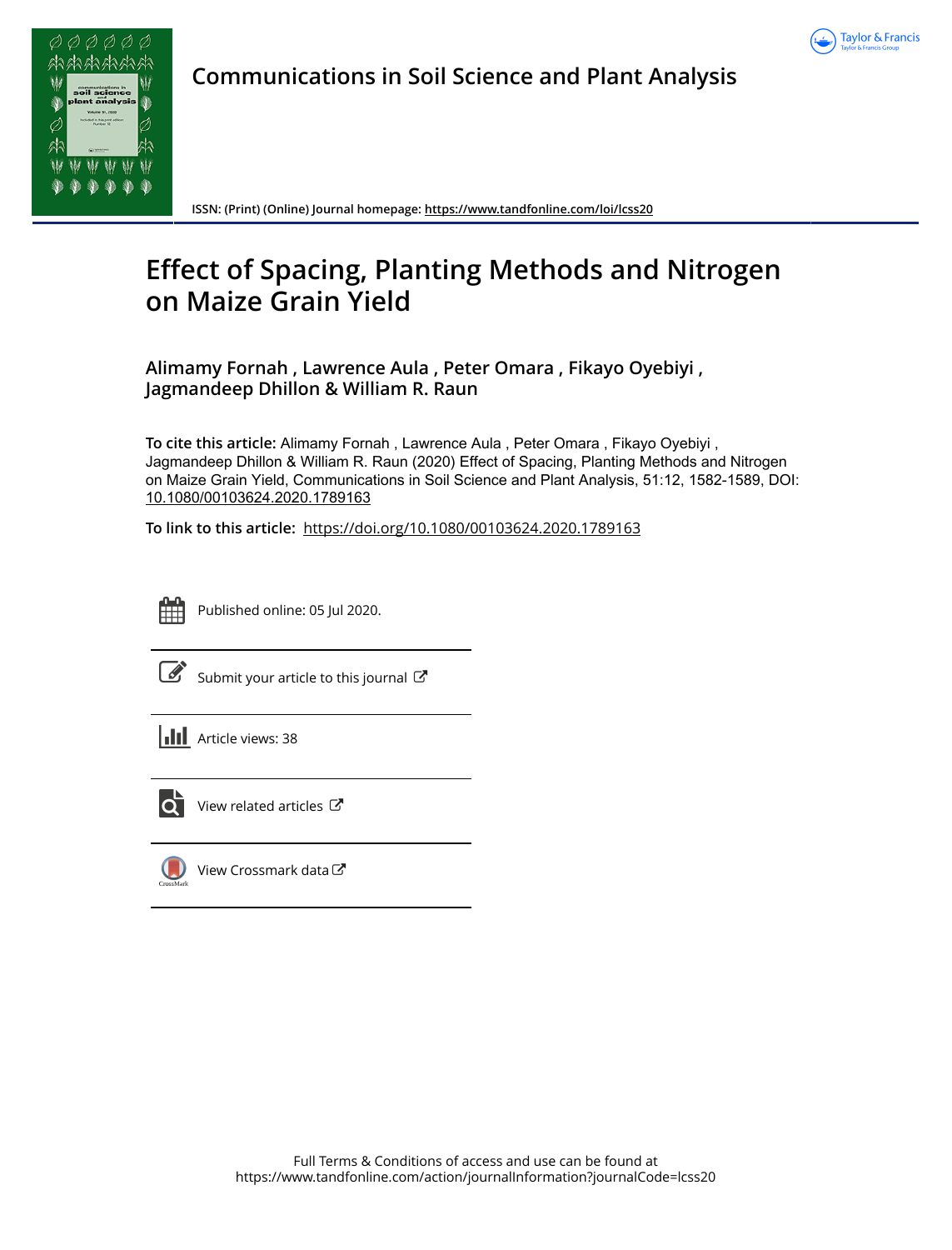



**Communications in Soil Science and Plant Analysis**

**ISSN: (Print) (Online) Journal homepage:<https://www.tandfonline.com/loi/lcss20>**

# **Effect of Spacing, Planting Methods and Nitrogen on Maize Grain Yield**

**Alimamy Fornah , Lawrence Aula , Peter Omara , Fikayo Oyebiyi , Jagmandeep Dhillon & William R. Raun**

**To cite this article:** Alimamy Fornah , Lawrence Aula , Peter Omara , Fikayo Oyebiyi , Jagmandeep Dhillon & William R. Raun (2020) Effect of Spacing, Planting Methods and Nitrogen on Maize Grain Yield, Communications in Soil Science and Plant Analysis, 51:12, 1582-1589, DOI: [10.1080/00103624.2020.1789163](https://www.tandfonline.com/action/showCitFormats?doi=10.1080/00103624.2020.1789163)

**To link to this article:** <https://doi.org/10.1080/00103624.2020.1789163>



Published online: 05 Jul 2020.



 $\overline{\mathscr{L}}$  [Submit your article to this journal](https://www.tandfonline.com/action/authorSubmission?journalCode=lcss20&show=instructions)  $\mathbb{F}$ 

**III** Article views: 38



[View related articles](https://www.tandfonline.com/doi/mlt/10.1080/00103624.2020.1789163) C



[View Crossmark data](http://crossmark.crossref.org/dialog/?doi=10.1080/00103624.2020.1789163&domain=pdf&date_stamp=2020-07-05)<sup>C</sup>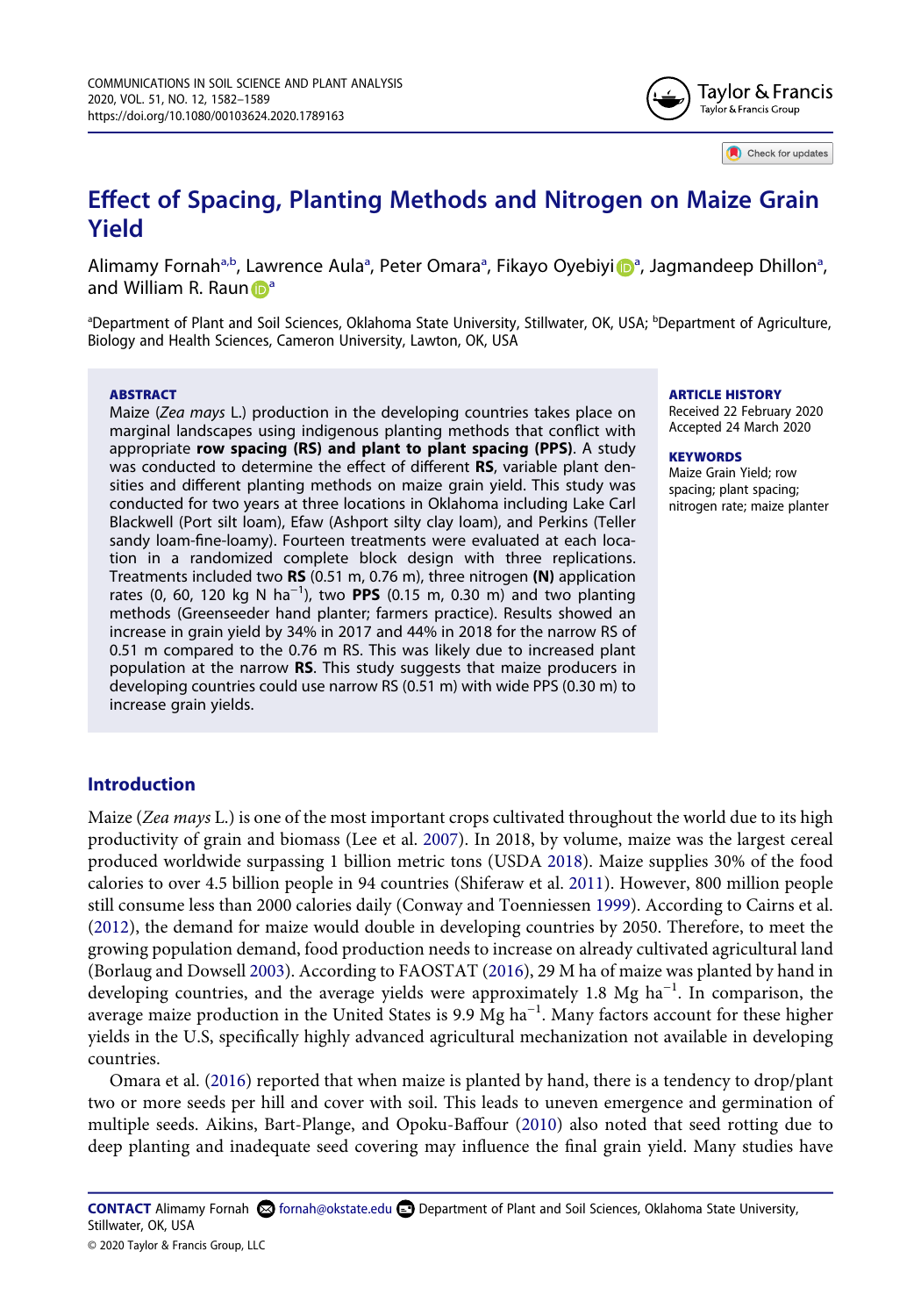

Check for updates

# **Effect of Spacing, Planting Methods and Nitrogen on Maize Grain Yield**

Alimamy Fornah<sup>[a,b](#page-1-0)</sup>, Lawrence Aula<sup>a</sup>, Peter Omara<sup>a</sup>, F[i](http://orcid.org/0000-0002-1930-9345)k[a](#page-1-0)yo Oyebiyi D<sup>a</sup>, Jagmandeep Dhillon<sup>a</sup>, a[n](http://orcid.org/0000-0002-1206-1105)d Willi[a](#page-1-0)m R. Raun  $\mathbb{D}^a$ 

<span id="page-1-0"></span><sup>a</sup>Department of Plant and Soil Sciences, Oklahoma State University, Stillwater, OK, USA; <sup>b</sup>Department of Agriculture, Biology and Health Sciences, Cameron University, Lawton, OK, USA

#### **ABSTRACT**

Maize (*Zea mays* L.) production in the developing countries takes place on marginal landscapes using indigenous planting methods that conflict with appropriate **row spacing (RS) and plant to plant spacing (PPS)**. A study was conducted to determine the effect of different **RS**, variable plant densities and different planting methods on maize grain yield. This study was conducted for two years at three locations in Oklahoma including Lake Carl Blackwell (Port silt loam), Efaw (Ashport silty clay loam), and Perkins (Teller sandy loam-fine-loamy). Fourteen treatments were evaluated at each location in a randomized complete block design with three replications. Treatments included two **RS** (0.51 m, 0.76 m), three nitrogen **(N)** application rates (0, 60, 120 kg N ha−1), two **PPS** (0.15 m, 0.30 m) and two planting methods (Greenseeder hand planter; farmers practice). Results showed an increase in grain yield by 34% in 2017 and 44% in 2018 for the narrow RS of 0.51 m compared to the 0.76 m RS. This was likely due to increased plant population at the narrow **RS**. This study suggests that maize producers in developing countries could use narrow RS (0.51 m) with wide PPS (0.30 m) to increase grain yields.

#### **ARTICLE HISTORY**

Received 22 February 2020 Accepted 24 March 2020

#### **KEYWORDS**

Maize Grain Yield; row spacing; plant spacing; nitrogen rate; maize planter

## **Introduction**

<span id="page-1-8"></span><span id="page-1-7"></span><span id="page-1-5"></span><span id="page-1-4"></span><span id="page-1-3"></span>Maize (*Zea mays* L.) is one of the most important crops cultivated throughout the world due to its high productivity of grain and biomass (Lee et al. [2007\)](#page-8-0). In 2018, by volume, maize was the largest cereal produced worldwide surpassing 1 billion metric tons (USDA [2018\)](#page-8-1). Maize supplies 30% of the food calories to over 4.5 billion people in 94 countries (Shiferaw et al. [2011\)](#page-8-2). However, 800 million people still consume less than 2000 calories daily (Conway and Toenniessen [1999](#page-7-0)). According to Cairns et al. [\(2012\)](#page-7-1), the demand for maize would double in developing countries by 2050. Therefore, to meet the growing population demand, food production needs to increase on already cultivated agricultural land (Borlaug and Dowsell [2003\)](#page-7-2). According to FAOSTAT [\(2016](#page-8-3)), 29 M ha of maize was planted by hand in developing countries, and the average yields were approximately 1.8 Mg ha−1. In comparison, the average maize production in the United States is 9.9 Mg ha<sup>-1</sup>. Many factors account for these higher yields in the U.S, specifically highly advanced agricultural mechanization not available in developing countries.

<span id="page-1-6"></span><span id="page-1-2"></span><span id="page-1-1"></span>Omara et al. [\(2016\)](#page-8-4) reported that when maize is planted by hand, there is a tendency to drop/plant two or more seeds per hill and cover with soil. This leads to uneven emergence and germination of multiple seeds. Aikins, Bart-Plange, and Opoku-Baffour [\(2010\)](#page-7-3) also noted that seed rotting due to deep planting and inadequate seed covering may influence the final grain yield. Many studies have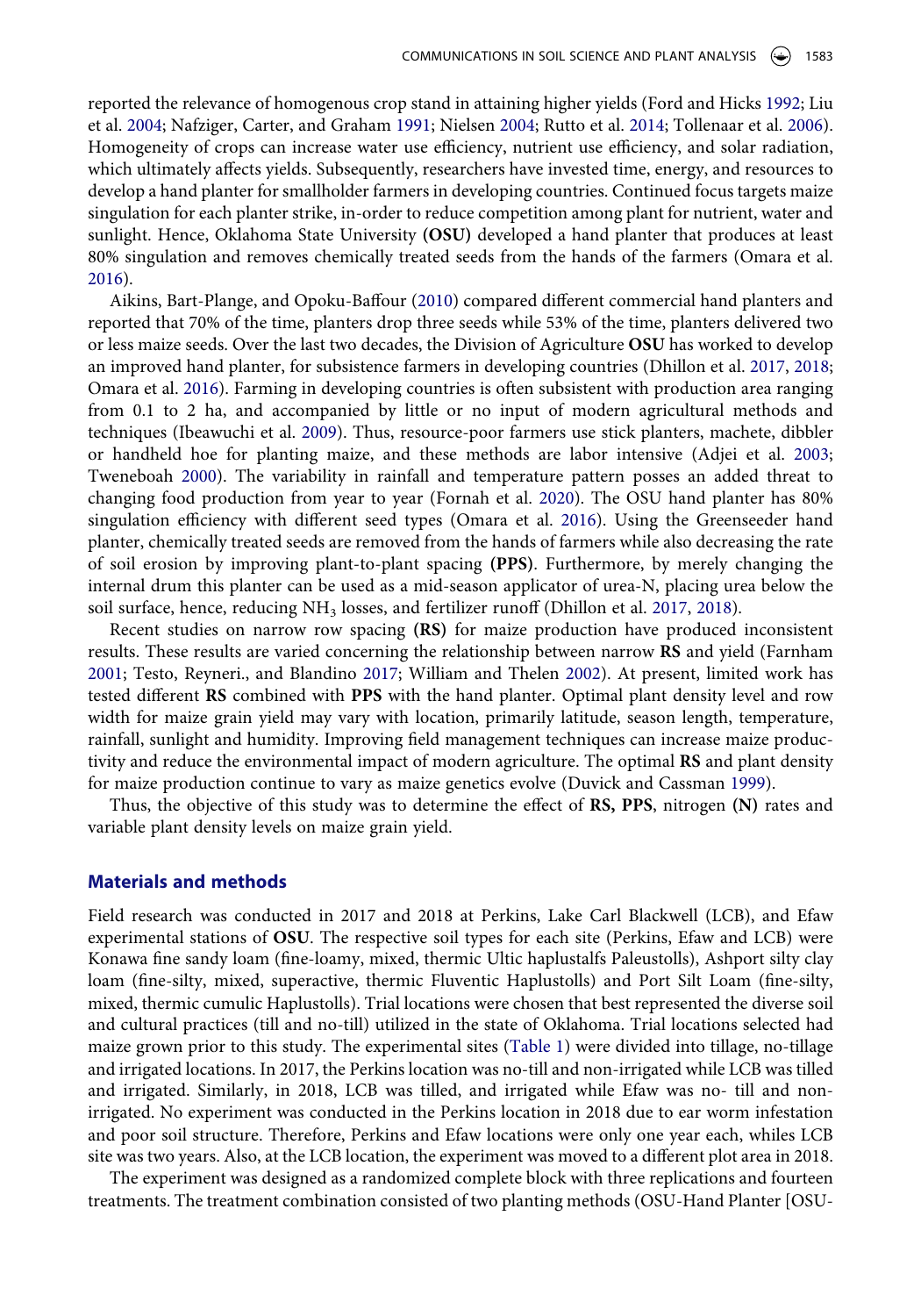<span id="page-2-7"></span><span id="page-2-4"></span>reported the relevance of homogenous crop stand in attaining higher yields (Ford and Hicks [1992](#page-8-5); Liu et al. [2004;](#page-8-6) Nafziger, Carter, and Graham [1991;](#page-8-7) Nielsen [2004;](#page-8-8) Rutto et al. [2014;](#page-8-9) Tollenaar et al. [2006](#page-8-10)). Homogeneity of crops can increase water use efficiency, nutrient use efficiency, and solar radiation, which ultimately affects yields. Subsequently, researchers have invested time, energy, and resources to develop a hand planter for smallholder farmers in developing countries. Continued focus targets maize singulation for each planter strike, in-order to reduce competition among plant for nutrient, water and sunlight. Hence, Oklahoma State University **(OSU)** developed a hand planter that produces at least 80% singulation and removes chemically treated seeds from the hands of the farmers (Omara et al. [2016](#page-8-4)).

<span id="page-2-6"></span><span id="page-2-0"></span>Aikins, Bart-Plange, and Opoku-Baffour ([2010\)](#page-7-3) compared different commercial hand planters and reported that 70% of the time, planters drop three seeds while 53% of the time, planters delivered two or less maize seeds. Over the last two decades, the Division of Agriculture **OSU** has worked to develop an improved hand planter, for subsistence farmers in developing countries (Dhillon et al. [2017,](#page-8-11) [2018;](#page-8-12) Omara et al. [2016\)](#page-8-4). Farming in developing countries is often subsistent with production area ranging from 0.1 to 2 ha, and accompanied by little or no input of modern agricultural methods and techniques (Ibeawuchi et al. [2009](#page-8-13)). Thus, resource-poor farmers use stick planters, machete, dibbler or handheld hoe for planting maize, and these methods are labor intensive (Adjei et al. [2003;](#page-7-4) Tweneboah [2000\)](#page-8-14). The variability in rainfall and temperature pattern posses an added threat to changing food production from year to year (Fornah et al. [2020](#page-8-15)). The OSU hand planter has 80% singulation efficiency with different seed types (Omara et al. [2016](#page-8-4)). Using the Greenseeder hand planter, chemically treated seeds are removed from the hands of farmers while also decreasing the rate of soil erosion by improving plant-to-plant spacing **(PPS)**. Furthermore, by merely changing the internal drum this planter can be used as a mid-season applicator of urea-N, placing urea below the soil surface, hence, reducing NH<sub>3</sub> losses, and fertilizer runoff (Dhillon et al. [2017](#page-8-11), [2018](#page-8-12)).

<span id="page-2-9"></span><span id="page-2-8"></span><span id="page-2-5"></span><span id="page-2-3"></span><span id="page-2-1"></span>Recent studies on narrow row spacing **(RS)** for maize production have produced inconsistent results. These results are varied concerning the relationship between narrow **RS** and yield (Farnham [2001](#page-8-16); Testo, Reyneri., and Blandino [2017;](#page-8-17) William and Thelen [2002\)](#page-8-18). At present, limited work has tested different **RS** combined with **PPS** with the hand planter. Optimal plant density level and row width for maize grain yield may vary with location, primarily latitude, season length, temperature, rainfall, sunlight and humidity. Improving field management techniques can increase maize productivity and reduce the environmental impact of modern agriculture. The optimal **RS** and plant density for maize production continue to vary as maize genetics evolve (Duvick and Cassman [1999\)](#page-8-19).

<span id="page-2-2"></span>Thus, the objective of this study was to determine the effect of **RS, PPS**, nitrogen **(N)** rates and variable plant density levels on maize grain yield.

# **Materials and methods**

Field research was conducted in 2017 and 2018 at Perkins, Lake Carl Blackwell (LCB), and Efaw experimental stations of **OSU**. The respective soil types for each site (Perkins, Efaw and LCB) were Konawa fine sandy loam (fine-loamy, mixed, thermic Ultic haplustalfs Paleustolls), Ashport silty clay loam (fine-silty, mixed, superactive, thermic Fluventic Haplustolls) and Port Silt Loam (fine-silty, mixed, thermic cumulic Haplustolls). Trial locations were chosen that best represented the diverse soil and cultural practices (till and no-till) utilized in the state of Oklahoma. Trial locations selected had maize grown prior to this study. The experimental sites ([Table 1\)](#page-3-0) were divided into tillage, no-tillage and irrigated locations. In 2017, the Perkins location was no-till and non-irrigated while LCB was tilled and irrigated. Similarly, in 2018, LCB was tilled, and irrigated while Efaw was no- till and nonirrigated. No experiment was conducted in the Perkins location in 2018 due to ear worm infestation and poor soil structure. Therefore, Perkins and Efaw locations were only one year each, whiles LCB site was two years. Also, at the LCB location, the experiment was moved to a different plot area in 2018.

The experiment was designed as a randomized complete block with three replications and fourteen treatments. The treatment combination consisted of two planting methods (OSU-Hand Planter [OSU-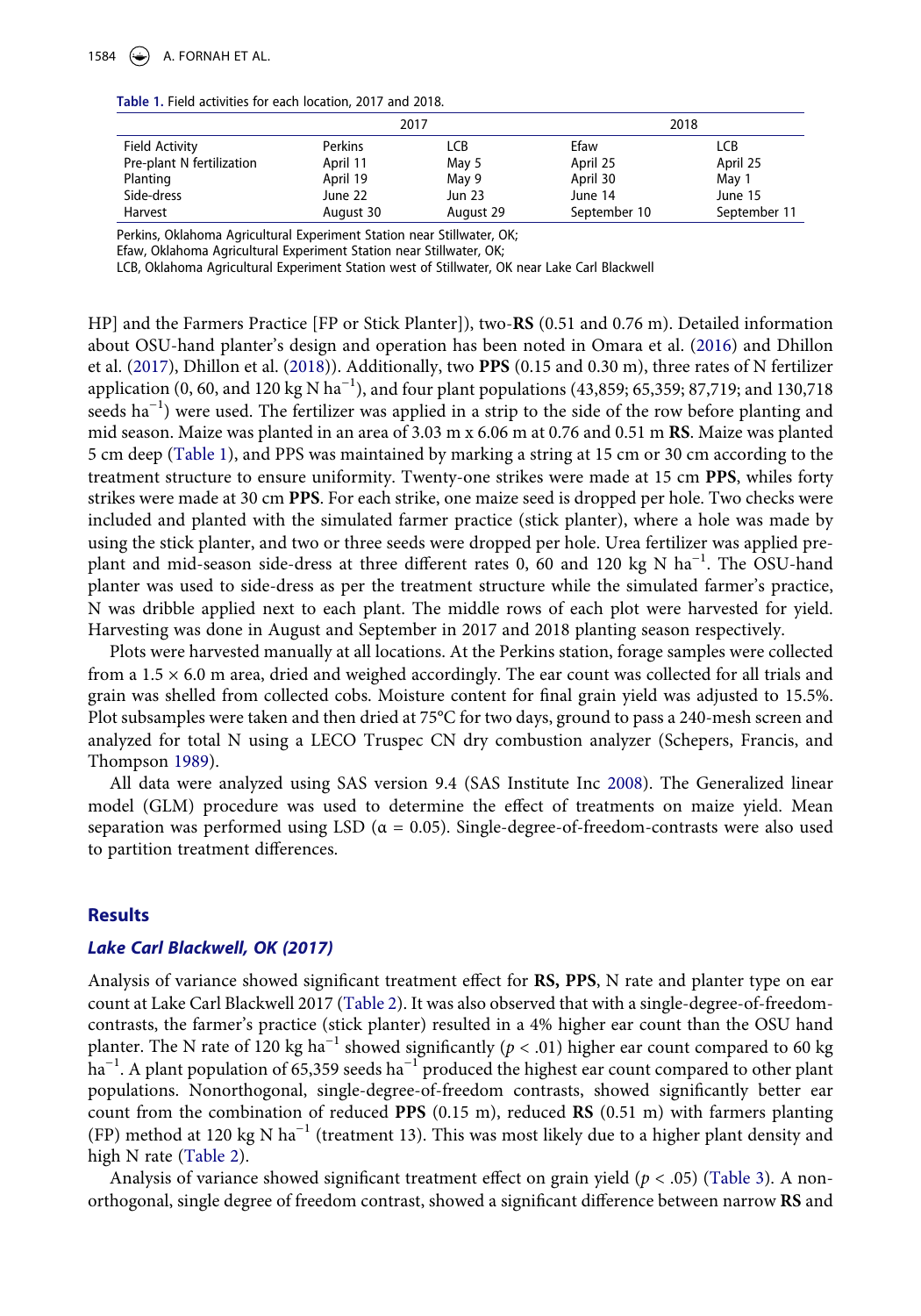#### <span id="page-3-0"></span>**Table 1.** Field activities for each location, 2017 and 2018.

|                           | 2017      |               | 2018         |              |  |
|---------------------------|-----------|---------------|--------------|--------------|--|
| <b>Field Activity</b>     | Perkins   | <b>LCB</b>    | Efaw         | LCB          |  |
| Pre-plant N fertilization | April 11  | May 5         | April 25     | April 25     |  |
| Planting                  | April 19  | May 9         | April 30     | May 1        |  |
| Side-dress                | June 22   | <b>Jun 23</b> | June 14      | June 15      |  |
| Harvest                   | August 30 | August 29     | September 10 | September 11 |  |

Perkins, Oklahoma Agricultural Experiment Station near Stillwater, OK;

Efaw, Oklahoma Agricultural Experiment Station near Stillwater, OK;

LCB, Oklahoma Agricultural Experiment Station west of Stillwater, OK near Lake Carl Blackwell

HP] and the Farmers Practice [FP or Stick Planter]), two-**RS** (0.51 and 0.76 m). Detailed information about OSU-hand planter's design and operation has been noted in Omara et al. [\(2016](#page-8-4)) and Dhillon et al. ([2017](#page-8-11)), Dhillon et al. ([2018\)](#page-8-12)). Additionally, two **PPS** (0.15 and 0.30 m), three rates of N fertilizer application (0, 60, and 120 kg N ha<sup>-1</sup>), and four plant populations (43,859; 65,359; 87,719; and 130,718 seeds ha<sup>-1</sup>) were used. The fertilizer was applied in a strip to the side of the row before planting and mid season. Maize was planted in an area of 3.03 m x 6.06 m at 0.76 and 0.51 m **RS**. Maize was planted 5 cm deep [\(Table 1\)](#page-3-0), and PPS was maintained by marking a string at 15 cm or 30 cm according to the treatment structure to ensure uniformity. Twenty-one strikes were made at 15 cm **PPS**, whiles forty strikes were made at 30 cm **PPS**. For each strike, one maize seed is dropped per hole. Two checks were included and planted with the simulated farmer practice (stick planter), where a hole was made by using the stick planter, and two or three seeds were dropped per hole. Urea fertilizer was applied preplant and mid-season side-dress at three different rates 0, 60 and 120 kg N ha<sup>-1</sup>. The OSU-hand planter was used to side-dress as per the treatment structure while the simulated farmer's practice, N was dribble applied next to each plant. The middle rows of each plot were harvested for yield. Harvesting was done in August and September in 2017 and 2018 planting season respectively.

Plots were harvested manually at all locations. At the Perkins station, forage samples were collected from a 1.5 × 6.0 m area, dried and weighed accordingly. The ear count was collected for all trials and grain was shelled from collected cobs. Moisture content for final grain yield was adjusted to 15.5%. Plot subsamples were taken and then dried at 75°C for two days, ground to pass a 240-mesh screen and analyzed for total N using a LECO Truspec CN dry combustion analyzer (Schepers, Francis, and Thompson [1989](#page-8-20)).

<span id="page-3-2"></span><span id="page-3-1"></span>All data were analyzed using SAS version 9.4 (SAS Institute Inc [2008\)](#page-8-21). The Generalized linear model (GLM) procedure was used to determine the effect of treatments on maize yield. Mean separation was performed using LSD ( $\alpha = 0.05$ ). Single-degree-of-freedom-contrasts were also used to partition treatment differences.

#### **Results**

#### *Lake Carl Blackwell, OK (2017)*

Analysis of variance showed significant treatment effect for **RS, PPS**, N rate and planter type on ear count at Lake Carl Blackwell 2017 ([Table 2](#page-4-0)). It was also observed that with a single-degree-of-freedomcontrasts, the farmer's practice (stick planter) resulted in a 4% higher ear count than the OSU hand planter. The N rate of 120 kg ha<sup>-1</sup> showed significantly ( $p < .01$ ) higher ear count compared to 60 kg ha<sup>-1</sup>. A plant population of 65,359 seeds ha<sup>-1</sup> produced the highest ear count compared to other plant populations. Nonorthogonal, single-degree-of-freedom contrasts, showed significantly better ear count from the combination of reduced **PPS** (0.15 m), reduced **RS** (0.51 m) with farmers planting (FP) method at 120 kg N ha−1 (treatment 13). This was most likely due to a higher plant density and high N rate ([Table 2\)](#page-4-0).

Analysis of variance showed significant treatment effect on grain yield (*p* < .05) [\(Table 3](#page-5-0)). A nonorthogonal, single degree of freedom contrast, showed a significant difference between narrow **RS** and

1584  $\left(\rightarrow\right)$  A. FORNAH ET AL.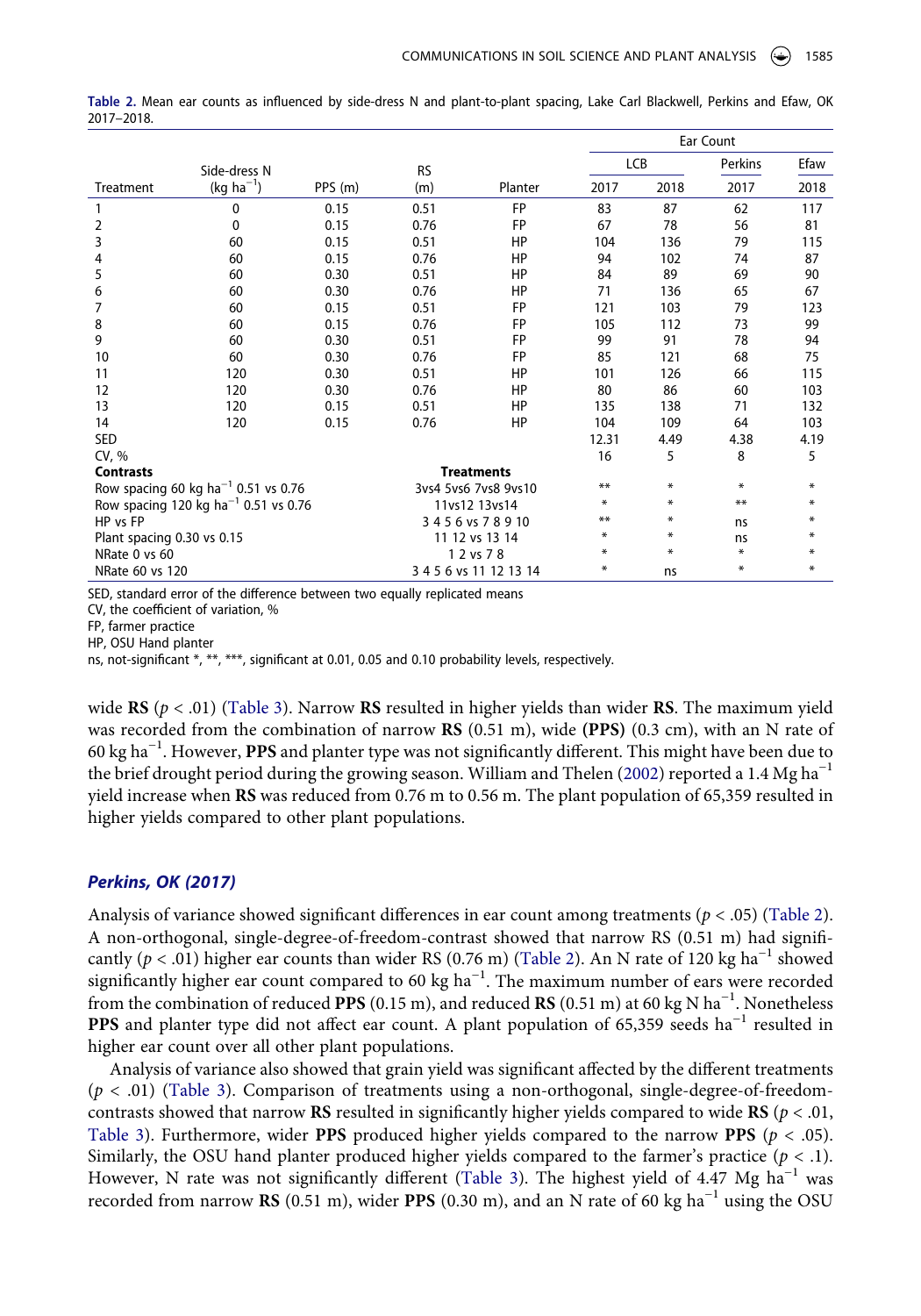|                                                  |                |                        |           |                   |       |        | Ear Count |      |
|--------------------------------------------------|----------------|------------------------|-----------|-------------------|-------|--------|-----------|------|
|                                                  | Side-dress N   |                        | <b>RS</b> |                   | LCB   |        | Perkins   | Efaw |
| Treatment                                        | $(kg ha^{-1})$ | PPS (m)                | (m)       | Planter           | 2017  | 2018   | 2017      | 2018 |
|                                                  | 0              | 0.15                   | 0.51      | <b>FP</b>         | 83    | 87     | 62        | 117  |
| 2                                                | 0              | 0.15                   | 0.76      | <b>FP</b>         | 67    | 78     | 56        | 81   |
| 3                                                | 60             | 0.15                   | 0.51      | HP                | 104   | 136    | 79        | 115  |
| 4                                                | 60             | 0.15                   | 0.76      | HP                | 94    | 102    | 74        | 87   |
| 5                                                | 60             | 0.30                   | 0.51      | HP                | 84    | 89     | 69        | 90   |
| 6                                                | 60             | 0.30                   | 0.76      | HP                | 71    | 136    | 65        | 67   |
| 7                                                | 60             | 0.15                   | 0.51      | <b>FP</b>         | 121   | 103    | 79        | 123  |
| 8                                                | 60             | 0.15                   | 0.76      | <b>FP</b>         | 105   | 112    | 73        | 99   |
| 9                                                | 60             | 0.30                   | 0.51      | <b>FP</b>         | 99    | 91     | 78        | 94   |
| 10                                               | 60             | 0.30                   | 0.76      | <b>FP</b>         | 85    | 121    | 68        | 75   |
| 11                                               | 120            | 0.30                   | 0.51      | HP                | 101   | 126    | 66        | 115  |
| 12                                               | 120            | 0.30                   | 0.76      | HP                | 80    | 86     | 60        | 103  |
| 13                                               | 120            | 0.15                   | 0.51      | HP                | 135   | 138    | 71        | 132  |
| 14                                               | 120            | 0.15                   | 0.76      | HP                | 104   | 109    | 64        | 103  |
| <b>SED</b>                                       |                |                        |           |                   | 12.31 | 4.49   | 4.38      | 4.19 |
| CV, %                                            |                |                        |           |                   | 16    | 5      | 8         | 5    |
| <b>Contrasts</b>                                 |                |                        |           | <b>Treatments</b> |       |        |           |      |
| Row spacing 60 kg ha <sup>-1</sup> 0.51 vs 0.76  |                | 3ys4 5ys6 7ys8 9ys10   |           | **                | ∗     | $\ast$ | ₩         |      |
| Row spacing 120 kg ha <sup>-1</sup> 0.51 vs 0.76 |                | 11vs12 13vs14          |           | ∗                 | ∗     | **     | ∗         |      |
| HP vs FP                                         |                | 3456 vs 78910          |           | **                | ∗     | ns     | ₩         |      |
| Plant spacing 0.30 vs 0.15                       |                | 11 12 vs 13 14         |           | ₩                 | ∗     | ns     | ₩         |      |
| NRate 0 vs 60                                    |                | 1 2 vs 7 8             |           | ∗                 | ∗     | *      | ₩         |      |
| NRate 60 vs 120                                  |                | 3 4 5 6 vs 11 12 13 14 |           | $\ast$            | ns    | ₩      | ₩         |      |

<span id="page-4-0"></span>**Table 2.** Mean ear counts as influenced by side-dress N and plant-to-plant spacing, Lake Carl Blackwell, Perkins and Efaw, OK 2017–2018.

SED, standard error of the difference between two equally replicated means

CV, the coefficient of variation, %

FP, farmer practice

HP, OSU Hand planter

ns, not-significant \*, \*\*, \*\*\*, significant at 0.01, 0.05 and 0.10 probability levels, respectively.

wide **RS**  $(p < .01)$  ([Table 3\)](#page-5-0). Narrow **RS** resulted in higher yields than wider **RS**. The maximum yield was recorded from the combination of narrow **RS** (0.51 m), wide **(PPS)** (0.3 cm), with an N rate of 60 kg ha−1. However, **PPS** and planter type was not significantly different. This might have been due to the brief drought period during the growing season. William and Thelen [\(2002](#page-8-18)) reported a 1.4 Mg ha<sup>-1</sup> yield increase when **RS** was reduced from 0.76 m to 0.56 m. The plant population of 65,359 resulted in higher yields compared to other plant populations.

# *Perkins, OK (2017)*

Analysis of variance showed significant differences in ear count among treatments (*p* < .05) ([Table 2](#page-4-0)). A non-orthogonal, single-degree-of-freedom-contrast showed that narrow RS (0.51 m) had significantly ( $p < .01$ ) higher ear counts than wider RS (0.76 m) ([Table 2](#page-4-0)). An N rate of 120 kg ha<sup>-1</sup> showed significantly higher ear count compared to 60 kg ha<sup> $-1$ </sup>. The maximum number of ears were recorded from the combination of reduced **PPS** (0.15 m), and reduced **RS** (0.51 m) at 60 kg N ha−1. Nonetheless PPS and planter type did not affect ear count. A plant population of 65,359 seeds ha<sup>-1</sup> resulted in higher ear count over all other plant populations.

Analysis of variance also showed that grain yield was significant affected by the different treatments (*p* < .01) [\(Table 3](#page-5-0)). Comparison of treatments using a non-orthogonal, single-degree-of-freedomcontrasts showed that narrow **RS** resulted in significantly higher yields compared to wide **RS** (*p* < .01, [Table 3\)](#page-5-0). Furthermore, wider **PPS** produced higher yields compared to the narrow **PPS** (*p* < .05). Similarly, the OSU hand planter produced higher yields compared to the farmer's practice  $(p < .1)$ . However, N rate was not significantly different [\(Table 3\)](#page-5-0). The highest yield of 4.47 Mg  $\text{ha}^{-1}$  was recorded from narrow **RS** (0.51 m), wider **PPS** (0.30 m), and an N rate of 60 kg ha−1 using the OSU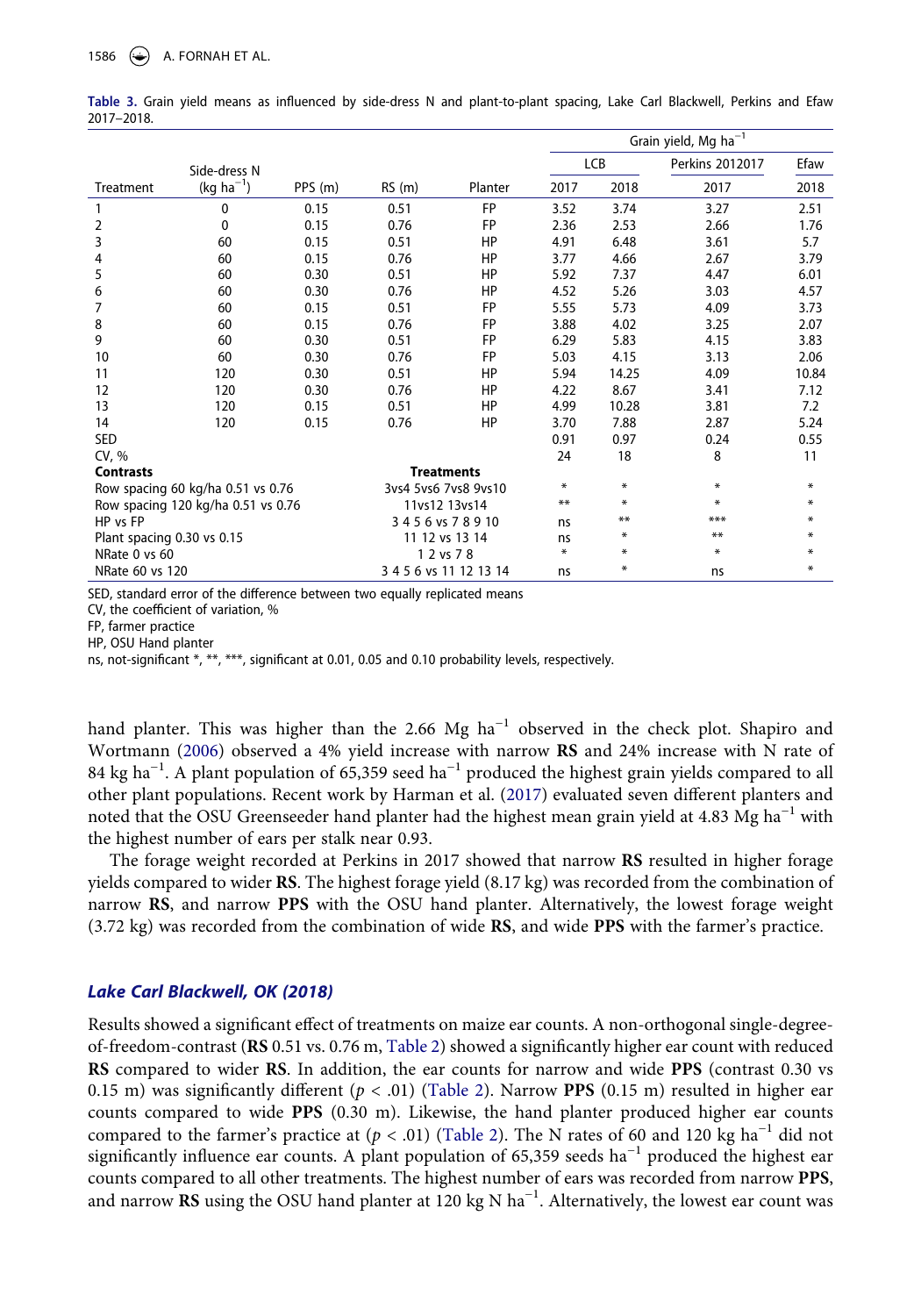|                                    |                |               |                      |                        | Grain yield, Mg $ha^{-1}$ |        |                 |        |
|------------------------------------|----------------|---------------|----------------------|------------------------|---------------------------|--------|-----------------|--------|
|                                    | Side-dress N   |               |                      |                        |                           | LCB    | Perkins 2012017 | Efaw   |
| Treatment                          | $(kg ha^{-1})$ | PPS (m)       | RS(m)                | Planter                | 2017                      | 2018   | 2017            | 2018   |
| 1                                  | $\mathbf{0}$   | 0.15          | 0.51                 | <b>FP</b>              | 3.52                      | 3.74   | 3.27            | 2.51   |
| 2                                  | 0              | 0.15          | 0.76                 | <b>FP</b>              | 2.36                      | 2.53   | 2.66            | 1.76   |
| 3                                  | 60             | 0.15          | 0.51                 | HP                     | 4.91                      | 6.48   | 3.61            | 5.7    |
| 4                                  | 60             | 0.15          | 0.76                 | HP                     | 3.77                      | 4.66   | 2.67            | 3.79   |
| 5                                  | 60             | 0.30          | 0.51                 | HP                     | 5.92                      | 7.37   | 4.47            | 6.01   |
| 6                                  | 60             | 0.30          | 0.76                 | HP                     | 4.52                      | 5.26   | 3.03            | 4.57   |
| 7                                  | 60             | 0.15          | 0.51                 | <b>FP</b>              | 5.55                      | 5.73   | 4.09            | 3.73   |
| 8                                  | 60             | 0.15          | 0.76                 | <b>FP</b>              | 3.88                      | 4.02   | 3.25            | 2.07   |
| 9                                  | 60             | 0.30          | 0.51                 | FP                     | 6.29                      | 5.83   | 4.15            | 3.83   |
| 10                                 | 60             | 0.30          | 0.76                 | <b>FP</b>              | 5.03                      | 4.15   | 3.13            | 2.06   |
| 11                                 | 120            | 0.30          | 0.51                 | HP                     | 5.94                      | 14.25  | 4.09            | 10.84  |
| 12                                 | 120            | 0.30          | 0.76                 | HP                     | 4.22                      | 8.67   | 3.41            | 7.12   |
| 13                                 | 120            | 0.15          | 0.51                 | HP                     | 4.99                      | 10.28  | 3.81            | 7.2    |
| 14                                 | 120            | 0.15          | 0.76                 | HP                     | 3.70                      | 7.88   | 2.87            | 5.24   |
| <b>SED</b>                         |                |               |                      |                        | 0.91                      | 0.97   | 0.24            | 0.55   |
| CV, %                              |                |               |                      |                        | 24                        | 18     | 8               | 11     |
| <b>Contrasts</b>                   |                |               |                      | <b>Treatments</b>      |                           |        |                 |        |
| Row spacing 60 kg/ha 0.51 vs 0.76  |                |               | 3ys4 5ys6 7ys8 9ys10 | *                      | $\ast$                    | ₩      | ∗               |        |
| Row spacing 120 kg/ha 0.51 vs 0.76 |                | 11vs12 13vs14 |                      | **                     | $\ast$                    | ₩      | ∗               |        |
| HP vs FP                           |                | 3456 vs 78910 |                      | ns                     | $***$                     | ***    | ∗               |        |
| Plant spacing 0.30 vs 0.15         |                |               | 11 12 vs 13 14       | ns                     | ∗                         | **     | $\ast$          |        |
| NRate 0 vs 60                      |                |               |                      | 1 2 vs 7 8             | $\ast$                    | $\ast$ | $\ast$          | $\ast$ |
| NRate 60 vs 120                    |                |               |                      | 3 4 5 6 vs 11 12 13 14 | ns                        | ∗      | ns              | ₩      |

<span id="page-5-0"></span>**Table 3.** Grain yield means as influenced by side-dress N and plant-to-plant spacing, Lake Carl Blackwell, Perkins and Efaw 2017–2018.

SED, standard error of the difference between two equally replicated means

CV, the coefficient of variation, %

FP, farmer practice

HP, OSU Hand planter

ns, not-significant \*, \*\*, \*\*\*, significant at 0.01, 0.05 and 0.10 probability levels, respectively.

<span id="page-5-2"></span><span id="page-5-1"></span>hand planter. This was higher than the 2.66 Mg ha<sup>-1</sup> observed in the check plot. Shapiro and Wortmann [\(2006](#page-8-22)) observed a 4% yield increase with narrow **RS** and 24% increase with N rate of 84 kg ha<sup>-1</sup>. A plant population of 65,359 seed ha<sup>-1</sup> produced the highest grain yields compared to all other plant populations. Recent work by Harman et al. [\(2017](#page-8-23)) evaluated seven different planters and noted that the OSU Greenseeder hand planter had the highest mean grain yield at 4.83 Mg ha<sup>-1</sup> with the highest number of ears per stalk near 0.93.

The forage weight recorded at Perkins in 2017 showed that narrow **RS** resulted in higher forage yields compared to wider **RS**. The highest forage yield (8.17 kg) was recorded from the combination of narrow **RS**, and narrow **PPS** with the OSU hand planter. Alternatively, the lowest forage weight (3.72 kg) was recorded from the combination of wide **RS**, and wide **PPS** with the farmer's practice.

#### *Lake Carl Blackwell, OK (2018)*

Results showed a significant effect of treatments on maize ear counts. A non-orthogonal single-degreeof-freedom-contrast (**RS** 0.51 vs. 0.76 m, [Table 2\)](#page-4-0) showed a significantly higher ear count with reduced **RS** compared to wider **RS**. In addition, the ear counts for narrow and wide **PPS** (contrast 0.30 vs 0.15 m) was significantly different  $(p < .01)$  [\(Table 2\)](#page-4-0). Narrow PPS  $(0.15 \text{ m})$  resulted in higher ear counts compared to wide **PPS** (0.30 m). Likewise, the hand planter produced higher ear counts compared to the farmer's practice at  $(p < .01)$  [\(Table 2](#page-4-0)). The N rates of 60 and 120 kg ha<sup>-1</sup> did not significantly influence ear counts. A plant population of 65,359 seeds ha<sup>-1</sup> produced the highest ear counts compared to all other treatments. The highest number of ears was recorded from narrow **PPS**, and narrow **RS** using the OSU hand planter at 120 kg N ha−1. Alternatively, the lowest ear count was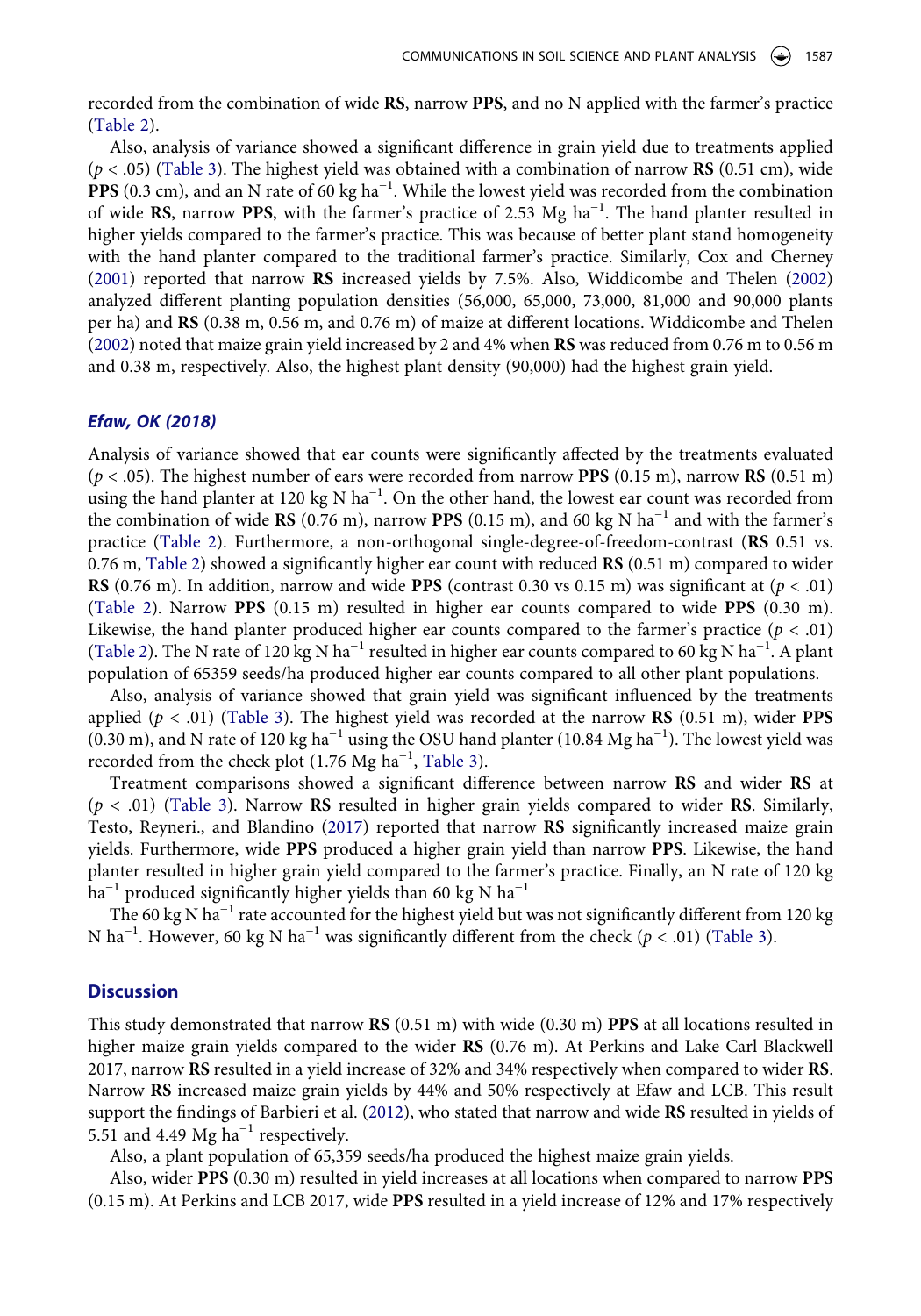recorded from the combination of wide **RS**, narrow **PPS**, and no N applied with the farmer's practice [\(Table 2](#page-4-0)).

<span id="page-6-1"></span>Also, analysis of variance showed a significant difference in grain yield due to treatments applied (*p* < .05) ([Table 3\)](#page-5-0). The highest yield was obtained with a combination of narrow **RS** (0.51 cm), wide PPS (0.3 cm), and an N rate of 60 kg ha<sup>-1</sup>. While the lowest yield was recorded from the combination of wide **RS**, narrow **PPS**, with the farmer's practice of 2.53 Mg ha−1. The hand planter resulted in higher yields compared to the farmer's practice. This was because of better plant stand homogeneity with the hand planter compared to the traditional farmer's practice. Similarly, Cox and Cherney [\(2001\)](#page-7-5) reported that narrow **RS** increased yields by 7.5%. Also, Widdicombe and Thelen [\(2002\)](#page-8-24) analyzed different planting population densities (56,000, 65,000, 73,000, 81,000 and 90,000 plants per ha) and **RS** (0.38 m, 0.56 m, and 0.76 m) of maize at different locations. Widdicombe and Thelen [\(2002\)](#page-8-24) noted that maize grain yield increased by 2 and 4% when **RS** was reduced from 0.76 m to 0.56 m and 0.38 m, respectively. Also, the highest plant density (90,000) had the highest grain yield.

#### <span id="page-6-2"></span>*Efaw, OK (2018)*

Analysis of variance showed that ear counts were significantly affected by the treatments evaluated (*p* < .05). The highest number of ears were recorded from narrow **PPS** (0.15 m), narrow **RS** (0.51 m) using the hand planter at 120 kg N ha<sup>-1</sup>. On the other hand, the lowest ear count was recorded from the combination of wide **RS** (0.76 m), narrow **PPS** (0.15 m), and 60 kg N ha<sup>-1</sup> and with the farmer's practice [\(Table 2\)](#page-4-0). Furthermore, a non-orthogonal single-degree-of-freedom-contrast (**RS** 0.51 vs. 0.76 m, [Table 2](#page-4-0)) showed a significantly higher ear count with reduced **RS** (0.51 m) compared to wider **RS** (0.76 m). In addition, narrow and wide **PPS** (contrast 0.30 vs 0.15 m) was significant at (*p* < .01) [\(Table 2\)](#page-4-0). Narrow **PPS** (0.15 m) resulted in higher ear counts compared to wide **PPS** (0.30 m). Likewise, the hand planter produced higher ear counts compared to the farmer's practice  $(p < .01)$ [\(Table 2\)](#page-4-0). The N rate of 120 kg N ha<sup>-1</sup> resulted in higher ear counts compared to 60 kg N ha<sup>-1</sup>. A plant population of 65359 seeds/ha produced higher ear counts compared to all other plant populations.

Also, analysis of variance showed that grain yield was significant influenced by the treatments applied (*p* < .01) [\(Table 3](#page-5-0)). The highest yield was recorded at the narrow **RS** (0.51 m), wider **PPS**  (0.30 m), and N rate of 120 kg ha<sup>-1</sup> using the OSU hand planter (10.84 Mg ha<sup>-1</sup>). The lowest yield was recorded from the check plot (1.76 Mg ha<sup>-1</sup>, [Table 3](#page-5-0)).

Treatment comparisons showed a significant difference between narrow **RS** and wider **RS** at (*p* < .01) ([Table 3](#page-5-0)). Narrow **RS** resulted in higher grain yields compared to wider **RS**. Similarly, Testo, Reyneri., and Blandino [\(2017\)](#page-8-17) reported that narrow **RS** significantly increased maize grain yields. Furthermore, wide **PPS** produced a higher grain yield than narrow **PPS**. Likewise, the hand planter resulted in higher grain yield compared to the farmer's practice. Finally, an N rate of 120 kg  $ha^{-1}$  produced significantly higher yields than 60 kg N  $ha^{-1}$ 

The 60 kg N ha<sup>-1</sup> rate accounted for the highest yield but was not significantly different from 120 kg N ha−1. However, 60 kg N ha−1 was significantly different from the check (*p* < .01) ([Table 3\)](#page-5-0).

#### **Discussion**

This study demonstrated that narrow **RS** (0.51 m) with wide (0.30 m) **PPS** at all locations resulted in higher maize grain yields compared to the wider **RS** (0.76 m). At Perkins and Lake Carl Blackwell 2017, narrow **RS** resulted in a yield increase of 32% and 34% respectively when compared to wider **RS**. Narrow **RS** increased maize grain yields by 44% and 50% respectively at Efaw and LCB. This result support the findings of Barbieri et al. ([2012\)](#page-7-6), who stated that narrow and wide **RS** resulted in yields of 5.51 and 4.49 Mg ha<sup> $-1$ </sup> respectively.

<span id="page-6-0"></span>Also, a plant population of 65,359 seeds/ha produced the highest maize grain yields.

Also, wider **PPS** (0.30 m) resulted in yield increases at all locations when compared to narrow **PPS**  (0.15 m). At Perkins and LCB 2017, wide **PPS** resulted in a yield increase of 12% and 17% respectively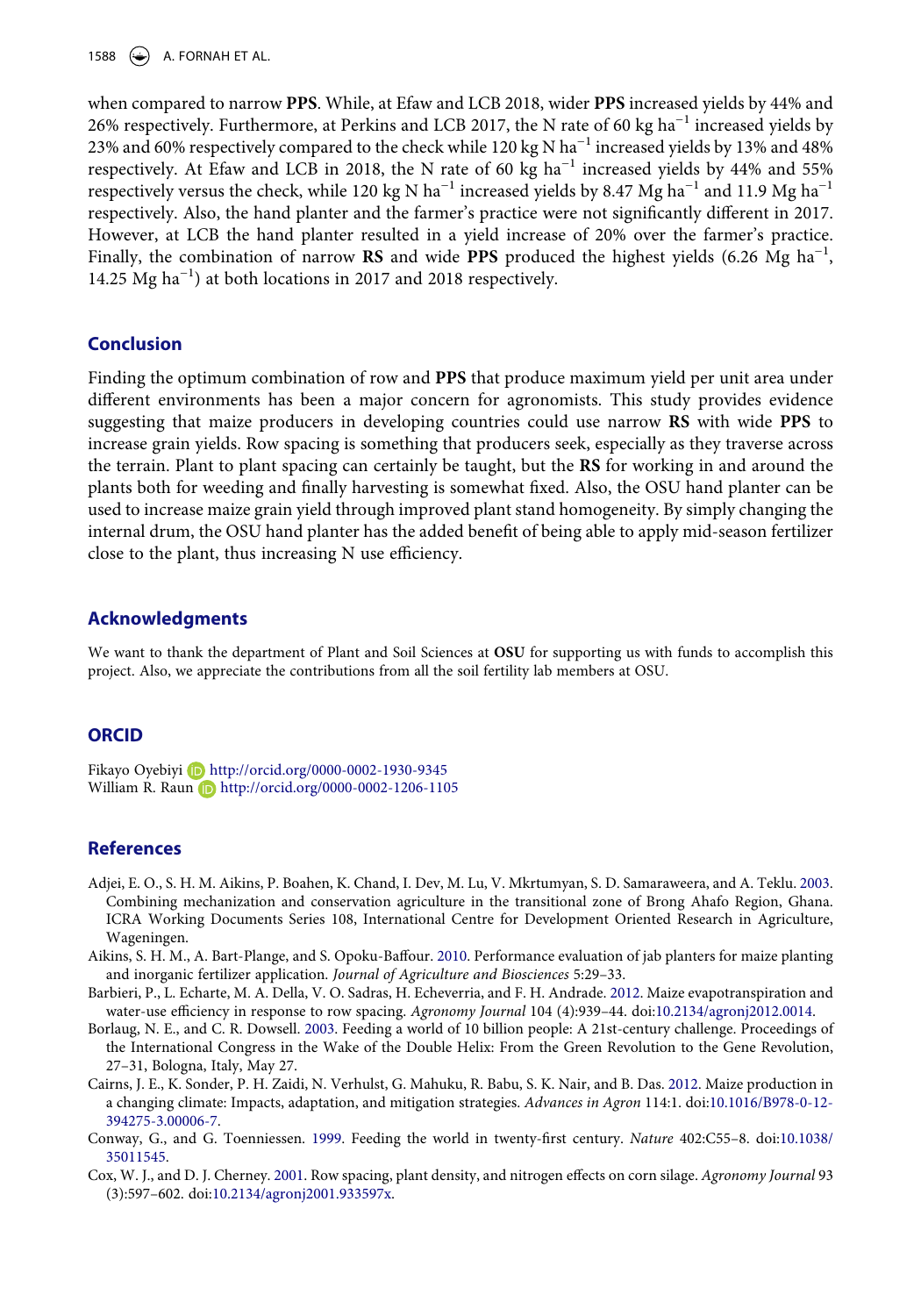1588  $\leftrightarrow$  A. FORNAH ET AL.

when compared to narrow **PPS**. While, at Efaw and LCB 2018, wider **PPS** increased yields by 44% and 26% respectively. Furthermore, at Perkins and LCB 2017, the N rate of 60 kg ha<sup>-1</sup> increased yields by 23% and 60% respectively compared to the check while 120 kg N ha<sup>-1</sup> increased yields by 13% and 48% respectively. At Efaw and LCB in 2018, the N rate of 60 kg  $ha^{-1}$  increased yields by 44% and 55% respectively versus the check, while 120 kg N ha<sup>-1</sup> increased yields by 8.47 Mg ha<sup>-1</sup> and 11.9 Mg ha<sup>-1</sup> respectively. Also, the hand planter and the farmer's practice were not significantly different in 2017. However, at LCB the hand planter resulted in a yield increase of 20% over the farmer's practice. Finally, the combination of narrow **RS** and wide **PPS** produced the highest yields (6.26 Mg ha−1, 14.25 Mg ha−1) at both locations in 2017 and 2018 respectively.

# **Conclusion**

Finding the optimum combination of row and **PPS** that produce maximum yield per unit area under different environments has been a major concern for agronomists. This study provides evidence suggesting that maize producers in developing countries could use narrow **RS** with wide **PPS** to increase grain yields. Row spacing is something that producers seek, especially as they traverse across the terrain. Plant to plant spacing can certainly be taught, but the **RS** for working in and around the plants both for weeding and finally harvesting is somewhat fixed. Also, the OSU hand planter can be used to increase maize grain yield through improved plant stand homogeneity. By simply changing the internal drum, the OSU hand planter has the added benefit of being able to apply mid-season fertilizer close to the plant, thus increasing N use efficiency.

#### **Acknowledgments**

We want to thank the department of Plant and Soil Sciences at **OSU** for supporting us with funds to accomplish this project. Also, we appreciate the contributions from all the soil fertility lab members at OSU.

# **ORCID**

Fikayo Oyebiyi http://orcid.org/0000-0002-1930-9345 William R. Raun D http://orcid.org/0000-0002-1206-1105

#### **References**

- <span id="page-7-4"></span>Adjei, E. O., S. H. M. Aikins, P. Boahen, K. Chand, I. Dev, M. Lu, V. Mkrtumyan, S. D. Samaraweera, and A. Teklu. [2003](#page-2-0). Combining mechanization and conservation agriculture in the transitional zone of Brong Ahafo Region, Ghana. ICRA Working Documents Series 108, International Centre for Development Oriented Research in Agriculture, Wageningen.
- <span id="page-7-3"></span>Aikins, S. H. M., A. Bart-Plange, and S. Opoku-Baffour. [2010.](#page-1-1) Performance evaluation of jab planters for maize planting and inorganic fertilizer application. *Journal of Agriculture and Biosciences* 5:29–33.
- <span id="page-7-6"></span>Barbieri, P., L. Echarte, M. A. Della, V. O. Sadras, H. Echeverria, and F. H. Andrade. [2012](#page-6-0). Maize evapotranspiration and water-use efficiency in response to row spacing. *Agronomy Journal* 104 (4):939–44. doi:[10.2134/agronj2012.0014.](https://doi.org/10.2134/agronj2012.0014)
- <span id="page-7-2"></span>Borlaug, N. E., and C. R. Dowsell. [2003](#page-1-2). Feeding a world of 10 billion people: A 21st-century challenge. Proceedings of the International Congress in the Wake of the Double Helix: From the Green Revolution to the Gene Revolution, 27–31, Bologna, Italy, May 27.
- <span id="page-7-1"></span>Cairns, J. E., K. Sonder, P. H. Zaidi, N. Verhulst, G. Mahuku, R. Babu, S. K. Nair, and B. Das. [2012](#page-1-3). Maize production in a changing climate: Impacts, adaptation, and mitigation strategies. *Advances in Agron* 114:1. doi:[10.1016/B978-0-12-](https://doi.org/10.1016/B978-0-12-394275-3.00006-7) [394275-3.00006-7](https://doi.org/10.1016/B978-0-12-394275-3.00006-7).
- <span id="page-7-0"></span>Conway, G., and G. Toenniessen. [1999.](#page-1-4) Feeding the world in twenty-first century. *Nature* 402:C55–8. doi:[10.1038/](https://doi.org/10.1038/35011545) [35011545.](https://doi.org/10.1038/35011545)
- <span id="page-7-5"></span>Cox, W. J., and D. J. Cherney. [2001](#page-6-1). Row spacing, plant density, and nitrogen effects on corn silage. *Agronomy Journal* 93 (3):597–602. doi:[10.2134/agronj2001.933597x](https://doi.org/10.2134/agronj2001.933597x).